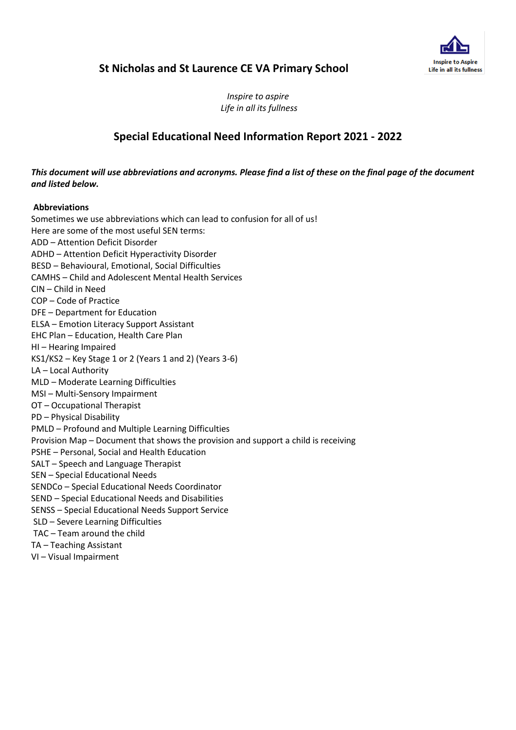

# **St Nicholas and St Laurence CE VA Primary School**

*Inspire to aspire Life in all its fullness*

# **Special Educational Need Information Report 2021 - 2022**

### *This document will use abbreviations and acronyms. Please find a list of these on the final page of the document and listed below.*

### **Abbreviations**

Sometimes we use abbreviations which can lead to confusion for all of us! Here are some of the most useful SEN terms: ADD – Attention Deficit Disorder ADHD – Attention Deficit Hyperactivity Disorder BESD – Behavioural, Emotional, Social Difficulties CAMHS – Child and Adolescent Mental Health Services CIN – Child in Need COP – Code of Practice DFE – Department for Education ELSA – Emotion Literacy Support Assistant EHC Plan – Education, Health Care Plan HI – Hearing Impaired KS1/KS2 – Key Stage 1 or 2 (Years 1 and 2) (Years 3-6) LA – Local Authority MLD – Moderate Learning Difficulties MSI – Multi-Sensory Impairment OT – Occupational Therapist PD – Physical Disability PMLD – Profound and Multiple Learning Difficulties Provision Map – Document that shows the provision and support a child is receiving PSHE – Personal, Social and Health Education SALT – Speech and Language Therapist SEN – Special Educational Needs SENDCo – Special Educational Needs Coordinator SEND – Special Educational Needs and Disabilities SENSS – Special Educational Needs Support Service SLD – Severe Learning Difficulties TAC – Team around the child TA – Teaching Assistant VI – Visual Impairment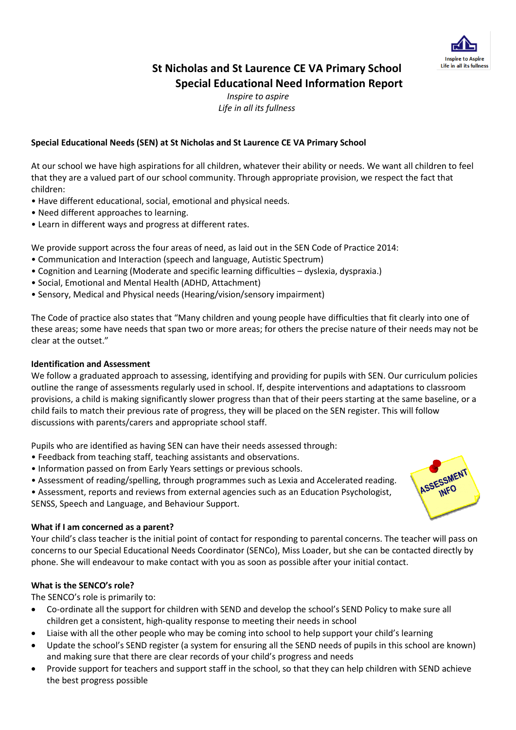

# **St Nicholas and St Laurence CE VA Primary School Special Educational Need Information Report**

*Inspire to aspire Life in all its fullness*

# **Special Educational Needs (SEN) at St Nicholas and St Laurence CE VA Primary School**

At our school we have high aspirations for all children, whatever their ability or needs. We want all children to feel that they are a valued part of our school community. Through appropriate provision, we respect the fact that children:

- Have different educational, social, emotional and physical needs.
- Need different approaches to learning.
- Learn in different ways and progress at different rates.

We provide support across the four areas of need, as laid out in the SEN Code of Practice 2014:

- Communication and Interaction (speech and language, Autistic Spectrum)
- Cognition and Learning (Moderate and specific learning difficulties dyslexia, dyspraxia.)
- Social, Emotional and Mental Health (ADHD, Attachment)
- Sensory, Medical and Physical needs (Hearing/vision/sensory impairment)

The Code of practice also states that "Many children and young people have difficulties that fit clearly into one of these areas; some have needs that span two or more areas; for others the precise nature of their needs may not be clear at the outset."

### **Identification and Assessment**

We follow a graduated approach to assessing, identifying and providing for pupils with SEN. Our curriculum policies outline the range of assessments regularly used in school. If, despite interventions and adaptations to classroom provisions, a child is making significantly slower progress than that of their peers starting at the same baseline, or a child fails to match their previous rate of progress, they will be placed on the SEN register. This will follow discussions with parents/carers and appropriate school staff.

Pupils who are identified as having SEN can have their needs assessed through:

- Feedback from teaching staff, teaching assistants and observations.
- Information passed on from Early Years settings or previous schools.
- Assessment of reading/spelling, through programmes such as Lexia and Accelerated reading.

• Assessment, reports and reviews from external agencies such as an Education Psychologist, SENSS, Speech and Language, and Behaviour Support.

### **What if I am concerned as a parent?**

Your child's class teacher is the initial point of contact for responding to parental concerns. The teacher will pass on concerns to our Special Educational Needs Coordinator (SENCo), Miss Loader, but she can be contacted directly by phone. She will endeavour to make contact with you as soon as possible after your initial contact.

# **What is the SENCO's role?**

The SENCO's role is primarily to:

- Co-ordinate all the support for children with SEND and develop the school's SEND Policy to make sure all children get a consistent, high-quality response to meeting their needs in school
- Liaise with all the other people who may be coming into school to help support your child's learning
- Update the school's SEND register (a system for ensuring all the SEND needs of pupils in this school are known) and making sure that there are clear records of your child's progress and needs
- Provide support for teachers and support staff in the school, so that they can help children with SEND achieve the best progress possible

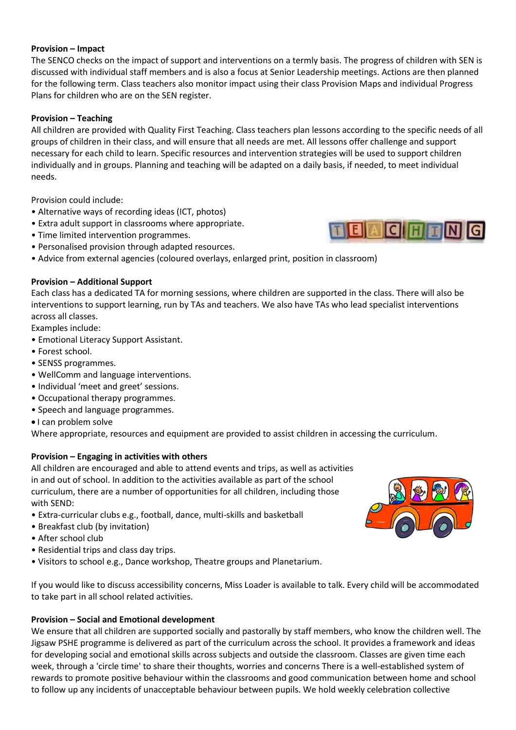### **Provision – Impact**

The SENCO checks on the impact of support and interventions on a termly basis. The progress of children with SEN is discussed with individual staff members and is also a focus at Senior Leadership meetings. Actions are then planned for the following term. Class teachers also monitor impact using their class Provision Maps and individual Progress Plans for children who are on the SEN register.

### **Provision – Teaching**

All children are provided with Quality First Teaching. Class teachers plan lessons according to the specific needs of all groups of children in their class, and will ensure that all needs are met. All lessons offer challenge and support necessary for each child to learn. Specific resources and intervention strategies will be used to support children individually and in groups. Planning and teaching will be adapted on a daily basis, if needed, to meet individual needs.

Provision could include:

- Alternative ways of recording ideas (ICT, photos)
- Extra adult support in classrooms where appropriate.
- Time limited intervention programmes.
- Personalised provision through adapted resources.
- Advice from external agencies (coloured overlays, enlarged print, position in classroom)

### **Provision – Additional Support**

Each class has a dedicated TA for morning sessions, where children are supported in the class. There will also be interventions to support learning, run by TAs and teachers. We also have TAs who lead specialist interventions across all classes.

Examples include:

- Emotional Literacy Support Assistant.
- Forest school.
- SENSS programmes.
- WellComm and language interventions.
- Individual 'meet and greet' sessions.
- Occupational therapy programmes.
- Speech and language programmes.
- $\bullet$  I can problem solve

Where appropriate, resources and equipment are provided to assist children in accessing the curriculum.

# **Provision – Engaging in activities with others**

All children are encouraged and able to attend events and trips, as well as activities in and out of school. In addition to the activities available as part of the school curriculum, there are a number of opportunities for all children, including those with SEND:

- Extra-curricular clubs e.g., football, dance, multi-skills and basketball
- Breakfast club (by invitation)
- After school club
- Residential trips and class day trips.
- Visitors to school e.g., Dance workshop, Theatre groups and Planetarium.

If you would like to discuss accessibility concerns, Miss Loader is available to talk. Every child will be accommodated to take part in all school related activities.

### **Provision – Social and Emotional development**

We ensure that all children are supported socially and pastorally by staff members, who know the children well. The Jigsaw PSHE programme is delivered as part of the curriculum across the school. It provides a framework and ideas for developing social and emotional skills across subjects and outside the classroom. Classes are given time each week, through a 'circle time' to share their thoughts, worries and concerns There is a well-established system of rewards to promote positive behaviour within the classrooms and good communication between home and school to follow up any incidents of unacceptable behaviour between pupils. We hold weekly celebration collective



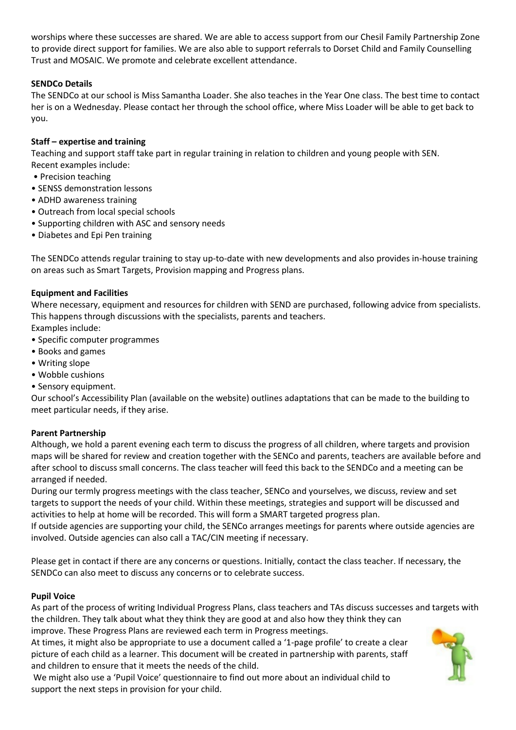worships where these successes are shared. We are able to access support from our Chesil Family Partnership Zone to provide direct support for families. We are also able to support referrals to Dorset Child and Family Counselling Trust and MOSAIC. We promote and celebrate excellent attendance.

# **SENDCo Details**

The SENDCo at our school is Miss Samantha Loader. She also teaches in the Year One class. The best time to contact her is on a Wednesday. Please contact her through the school office, where Miss Loader will be able to get back to you.

# **Staff – expertise and training**

Teaching and support staff take part in regular training in relation to children and young people with SEN. Recent examples include:

- Precision teaching
- SENSS demonstration lessons
- ADHD awareness training
- Outreach from local special schools
- Supporting children with ASC and sensory needs
- Diabetes and Epi Pen training

The SENDCo attends regular training to stay up-to-date with new developments and also provides in-house training on areas such as Smart Targets, Provision mapping and Progress plans.

# **Equipment and Facilities**

Where necessary, equipment and resources for children with SEND are purchased, following advice from specialists. This happens through discussions with the specialists, parents and teachers.

Examples include:

- Specific computer programmes
- Books and games
- Writing slope
- Wobble cushions
- Sensory equipment.

Our school's Accessibility Plan (available on the website) outlines adaptations that can be made to the building to meet particular needs, if they arise.

# **Parent Partnership**

Although, we hold a parent evening each term to discuss the progress of all children, where targets and provision maps will be shared for review and creation together with the SENCo and parents, teachers are available before and after school to discuss small concerns. The class teacher will feed this back to the SENDCo and a meeting can be arranged if needed.

During our termly progress meetings with the class teacher, SENCo and yourselves, we discuss, review and set targets to support the needs of your child. Within these meetings, strategies and support will be discussed and activities to help at home will be recorded. This will form a SMART targeted progress plan.

If outside agencies are supporting your child, the SENCo arranges meetings for parents where outside agencies are involved. Outside agencies can also call a TAC/CIN meeting if necessary.

Please get in contact if there are any concerns or questions. Initially, contact the class teacher. If necessary, the SENDCo can also meet to discuss any concerns or to celebrate success.

# **Pupil Voice**

As part of the process of writing Individual Progress Plans, class teachers and TAs discuss successes and targets with the children. They talk about what they think they are good at and also how they think they can

improve. These Progress Plans are reviewed each term in Progress meetings.

At times, it might also be appropriate to use a document called a '1-page profile' to create a clear picture of each child as a learner. This document will be created in partnership with parents, staff and children to ensure that it meets the needs of the child.

We might also use a 'Pupil Voice' questionnaire to find out more about an individual child to support the next steps in provision for your child.

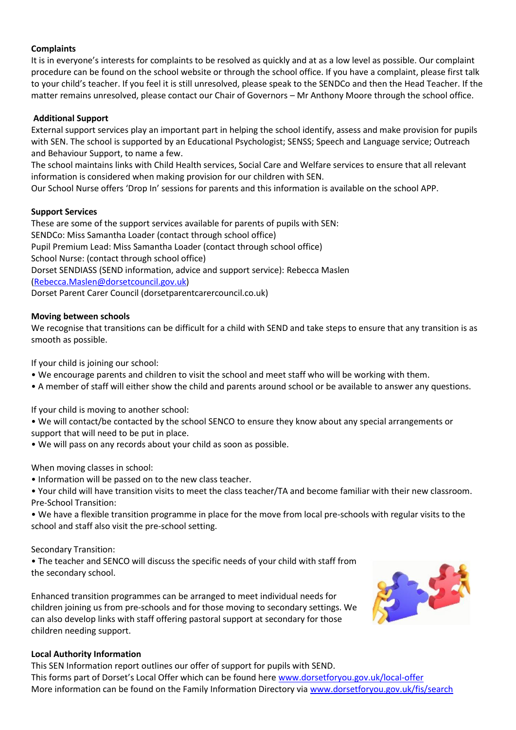### **Complaints**

It is in everyone's interests for complaints to be resolved as quickly and at as a low level as possible. Our complaint procedure can be found on the school website or through the school office. If you have a complaint, please first talk to your child's teacher. If you feel it is still unresolved, please speak to the SENDCo and then the Head Teacher. If the matter remains unresolved, please contact our Chair of Governors – Mr Anthony Moore through the school office.

### **Additional Support**

External support services play an important part in helping the school identify, assess and make provision for pupils with SEN. The school is supported by an Educational Psychologist; SENSS; Speech and Language service; Outreach and Behaviour Support, to name a few.

The school maintains links with Child Health services, Social Care and Welfare services to ensure that all relevant information is considered when making provision for our children with SEN.

Our School Nurse offers 'Drop In' sessions for parents and this information is available on the school APP.

### **Support Services**

These are some of the support services available for parents of pupils with SEN: SENDCo: Miss Samantha Loader (contact through school office) Pupil Premium Lead: Miss Samantha Loader (contact through school office) School Nurse: (contact through school office) Dorset SENDIASS (SEND information, advice and support service): Rebecca Maslen [\(Rebecca.Maslen@dorsetcouncil.gov.uk\)](mailto:Rebecca.Maslen@dorsetcouncil.gov.uk) Dorset Parent Carer Council (dorsetparentcarercouncil.co.uk)

### **Moving between schools**

We recognise that transitions can be difficult for a child with SEND and take steps to ensure that any transition is as smooth as possible.

If your child is joining our school:

- We encourage parents and children to visit the school and meet staff who will be working with them.
- A member of staff will either show the child and parents around school or be available to answer any questions.

If your child is moving to another school:

- We will contact/be contacted by the school SENCO to ensure they know about any special arrangements or support that will need to be put in place.
- We will pass on any records about your child as soon as possible.

### When moving classes in school:

- Information will be passed on to the new class teacher.
- Your child will have transition visits to meet the class teacher/TA and become familiar with their new classroom. Pre-School Transition:
- We have a flexible transition programme in place for the move from local pre-schools with regular visits to the school and staff also visit the pre-school setting.

Secondary Transition:

• The teacher and SENCO will discuss the specific needs of your child with staff from the secondary school.

Enhanced transition programmes can be arranged to meet individual needs for children joining us from pre-schools and for those moving to secondary settings. We can also develop links with staff offering pastoral support at secondary for those children needing support.



### **Local Authority Information**

This SEN Information report outlines our offer of support for pupils with SEND. This forms part of Dorset's Local Offer which can be found here [www.dorsetforyou.gov.uk/local-offer](http://www.dorsetforyou.gov.uk/local-offer) More information can be found on the Family Information Directory via [www.dorsetforyou.gov.uk/fis/search](http://www.dorsetforyou.gov.uk/fis/search)